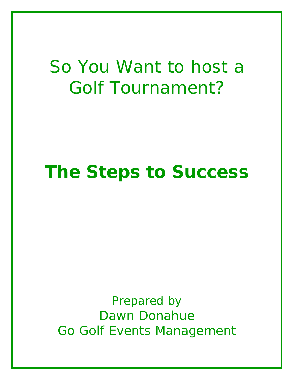# *So You Want to host a Golf Tournament?*

# *The Steps to Success*

*Prepared by Dawn Donahue Go Golf Events Management*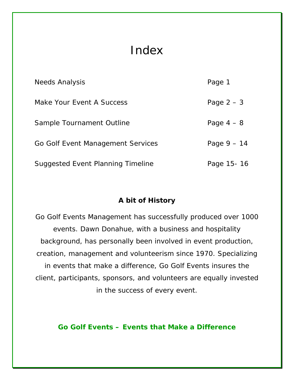# Index

| <b>Needs Analysis</b>             | Page 1        |
|-----------------------------------|---------------|
| Make Your Event A Success         | Page $2-3$    |
| Sample Tournament Outline         | Page $4-8$    |
| Go Golf Event Management Services | Page $9 - 14$ |
| Suggested Event Planning Timeline | Page 15-16    |

# *A bit of History*

*Go Golf Events Management has successfully produced over 1000 events. Dawn Donahue, with a business and hospitality background, has personally been involved in event production, creation, management and volunteerism since 1970. Specializing in events that make a difference, Go Golf Events insures the client, participants, sponsors, and volunteers are equally invested in the success of every event.* 

# **Go Golf Events – Events that Make a Difference**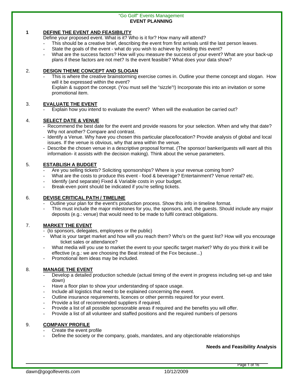#### "Go Golf" Events Management **EVENT PLANNING**

#### **1 DEFINE THE EVENT AND FEASIBILITY**

Define your proposed event. What is it? Who is it for? How many will attend?

- This should be a creative brief, describing the event from first arrivals until the last person leaves.
- State the goals of the event what do you wish to achieve by holding this event?
- What are the success factors? How will you measure the success of your event? What are your back-up plans if these factors are not met? Is the event feasible? What does your data show?

#### 2. **DESIGN THEME CONCEPT AND SLOGAN**

This is where the creative brainstorming exercise comes in. Outline your theme concept and slogan. How will it be expressed within the event? Explain & support the concept. (You must sell the "sizzle"!) Incorporate this into an invitation or some promotional item.

#### 3. **EVALUATE THE EVENT**

Explain how you intend to evaluate the event? When will the evaluation be carried out?

#### 4. **SELECT DATE & VENUE**

- Recommend the best date for the event and provide reasons for your selection. When and why that date? Why not another? Compare and contrast.
- Identify a Venue. Why have you chosen this particular place/location? Provide analysis of global and local issues. If the venue is obvious, why that area within the venue.
- Describe the chosen venue in a descriptive proposal format. (The sponsor/ banker/guests will want all this information- it assists with the decision making). Think about the venue parameters.

#### 5. **ESTABLISH A BUDGET**

- Are you selling tickets? Soliciting sponsorships? Where is your revenue coming from?
- What are the costs to produce this event food & beverage? Entertainment? Venue rental? etc.
- Identify (and separate) Fixed & Variable costs in your budget.
- Break-even point should be indicated if you're selling tickets.

#### 6. **DEVISE CRITICAL PATH / TIMELINE**

- Outline your plan for the event's production process. Show this info in timeline format.
- This must include the major milestones for you, the sponsors, and, the guests. Should include any major deposits (e.g.: venue) that would need to be made to fulfil contract obligations.

#### 7. **MARKET THE EVENT**

- (to sponsors, delegates, employees or the public)
- What is your target market and how will you reach them? Who's on the guest list? How will you encourage ticket sales or attendance?
- What media will you use to market the event to your specific target market? Why do you think it will be effective (e.g.: we are choosing the Beat instead of the Fox because...)
- Promotional item ideas may be included.

#### 8. **MANAGE THE EVENT**

- Develop a detailed production schedule (actual timing of the event in progress including set-up and take down)
- Have a floor plan to show your understanding of space usage.
- Include all logistics that need to be explained concerning the event.
- Outline insurance requirements, licences or other permits required for your event.
- Provide a list of recommended suppliers if required.
- Provide a list of all possible sponsorable areas if required and the benefits you will offer.
- Provide a list of all volunteer and staffed positions and the required numbers of persons

#### 9. **COMPANY PROFILE**

- Create the event profile
- Define the society or the company, goals, mandates, and any objectionable relationships

**Needs and Feasibility Analysis**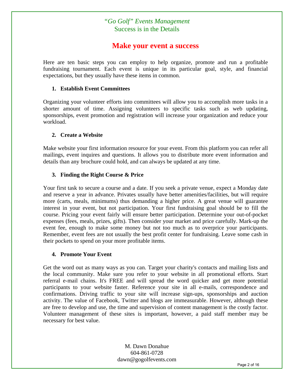# *"Go Golf" Events Management*  Success is in the Details

# **Make your event a success**

Here are ten basic steps you can employ to help organize, promote and run a profitable fundraising tournament. Each event is unique in its particular goal, style, and financial expectations, but they usually have these items in common.

#### **1. Establish Event Committees**

Organizing your volunteer efforts into committees will allow you to accomplish more tasks in a shorter amount of time. Assigning volunteers to specific tasks such as web updating, sponsorships, event promotion and registration will increase your organization and reduce your workload.

#### **2. Create a Website**

Make website your first information resource for your event. From this platform you can refer all mailings, event inquires and questions. It allows you to distribute more event information and details than any brochure could hold, and can always be updated at any time.

#### **3. Finding the Right Course & Price**

Your first task to secure a course and a date. If you seek a private venue, expect a Monday date and reserve a year in advance. Privates usually have better amenities/facilities, but will require more (carts, meals, minimums) thus demanding a higher price. A great venue will guarantee interest in your event, but not participation. Your first fundraising goal should be to fill the course. Pricing your event fairly will ensure better participation. Determine your out-of-pocket expenses (fees, meals, prizes, gifts). Then consider your market and price carefully. Mark-up the event fee, enough to make some money but not too much as to overprice your participants. Remember, event fees are not usually the best profit center for fundraising. Leave some cash in their pockets to spend on your more profitable items.

#### **4. Promote Your Event**

Get the word out as many ways as you can. Target your charity's contacts and mailing lists and the local community. Make sure you refer to your website in all promotional efforts. Start referral e-mail chains. It's FREE and will spread the word quicker and get more potential participants to your website faster. Reference your site in all e-mails, correspondence and confirmations. Driving traffic to your site will increase sign-ups, sponsorships and auction activity. The value of Facebook, Twitter and blogs are immeasurable. However, although these are free to develop and use, the time and supervision of content management is the costly factor. Volunteer management of these sites is important, however, a paid staff member may be necessary for best value.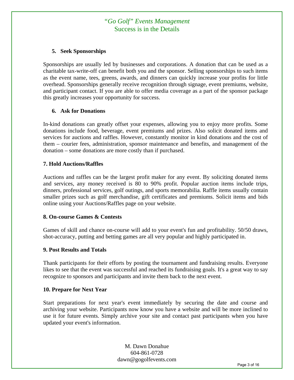# *"Go Golf" Events Management*  Success is in the Details

#### **5. Seek Sponsorships**

Sponsorships are usually led by businesses and corporations. A donation that can be used as a charitable tax-write-off can benefit both you and the sponsor. Selling sponsorships to such items as the event name, tees, greens, awards, and dinners can quickly increase your profits for little overhead. Sponsorships generally receive recognition through signage, event premiums, website, and participant contact. If you are able to offer media coverage as a part of the sponsor package this greatly increases your opportunity for success.

#### **6. Ask for Donations**

In-kind donations can greatly offset your expenses, allowing you to enjoy more profits. Some donations include food, beverage, event premiums and prizes. Also solicit donated items and services for auctions and raffles. However, constantly monitor in kind donations and the cost of them – courier fees, administration, sponsor maintenance and benefits, and management of the donation – some donations are more costly than if purchased.

#### **7. Hold Auctions/Raffles**

Auctions and raffles can be the largest profit maker for any event. By soliciting donated items and services, any money received is 80 to 90% profit. Popular auction items include trips, dinners, professional services, golf outings, and sports memorabilia. Raffle items usually contain smaller prizes such as golf merchandise, gift certificates and premiums. Solicit items and bids online using your Auctions/Raffles page on your website.

#### **8. On-course Games & Contests**

Games of skill and chance on-course will add to your event's fun and profitability. 50/50 draws, shot-accuracy, putting and betting games are all very popular and highly participated in.

#### **9. Post Results and Totals**

Thank participants for their efforts by posting the tournament and fundraising results. Everyone likes to see that the event was successful and reached its fundraising goals. It's a great way to say recognize to sponsors and participants and invite them back to the next event.

#### **10. Prepare for Next Year**

Start preparations for next year's event immediately by securing the date and course and archiving your website. Participants now know you have a website and will be more inclined to use it for future events. Simply archive your site and contact past participants when you have updated your event's information.

> M. Dawn Donahue 604-861-0728 dawn@gogolfevents.com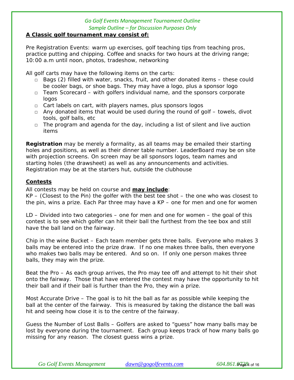#### **A Classic golf tournament may consist of:**

Pre Registration Events: warm up exercises, golf teaching tips from teaching pros, practice putting and chipping. Coffee and snacks for two hours at the driving range; 10:00 a.m until noon, photos, tradeshow, networking

All golf carts may have the following items on the carts:

- $\Box$  Bags (2) filled with water, snacks, fruit, and other donated items these could be cooler bags, or shoe bags. They may have a logo, plus a sponsor logo
- $\Box$  Team Scorecard with golfers individual name, and the sponsors corporate logos
- □ Cart labels on cart, with players names, plus sponsors logos
- $\Box$  Any donated items that would be used during the round of golf towels, divot tools, golf balls, etc
- $\Box$  The program and agenda for the day, including a list of silent and live auction items

**Registration** may be merely a formality, as all teams may be emailed their starting holes and positions, as well as their dinner table number. LeaderBoard may be on site with projection screens. On screen may be all sponsors logos, team names and starting holes (the drawsheet) as well as any announcements and activities. Registration may be at the starters hut, outside the clubhouse

# **Contests**

All contests may be held on course and **may include**:

*KP* – (Closest to the Pin) the golfer with the best tee shot – the one who was closest to the pin, wins a prize. Each Par three may have a KP – one for men and one for women

*LD* – Divided into two categories – one for men and one for women – the goal of this contest is to see which golfer can hit their ball the furthest from the tee box and still have the ball land on the fairway.

*Chip in the wine Bucket* – Each team member gets three balls. Everyone who makes 3 balls may be entered into the prize draw. If no one makes three balls, then everyone who makes two balls may be entered. And so on. If only one person makes three balls, they may win the prize.

*Beat the Pro* – As each group arrives, the Pro may tee off and attempt to hit their shot onto the fairway. Those that have entered the contest may have the opportunity to hit their ball and if their ball is further than the Pro, they win a prize.

*Most Accurate Drive* – The goal is to hit the ball as far as possible while keeping the ball at the center of the fairway. This is measured by taking the distance the ball was hit and seeing how close it is to the centre of the fairway.

*Guess the Number of Lost Balls* – Golfers are asked to "guess" how many balls may be lost by everyone during the tournament. Each group keeps track of how many balls go missing for any reason. The closest guess wins a prize.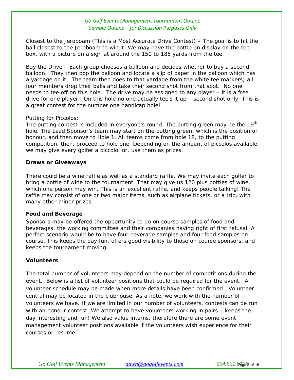*Closest to the Jeroboam (This is a Most Accurate Drive* Contest) – The goal is to hit the ball closest to the Jeroboam to win it. We may have the bottle on display on the tee box, with a picture on a sign at around the 150 to 185 yards from the tee.

*Buy the Drive* – Each group chooses a balloon and decides whether to buy a second balloon. They then pop the balloon and locate a slip of paper in the balloon which has a yardage on it. The team then goes to that yardage from the white tee markers; all four members drop their balls and take their second shot from that spot. No one needs to tee off on this hole. The drive may be assigned to any player – it is a free drive for one player. On this hole no one actually tee's it up – second shot only. This is a great contest for the number one handicap hole!

#### *Putting for Piccolos:*

The putting contest is included in everyone's round. The putting green may be the  $19<sup>th</sup>$ hole. The Lead Sponsor's team may start on the putting green, which is the position of honour, and then move to Hole 1. All teams come from hole 18, to the putting competition, then, proceed to hole one. Depending on the amount of piccolos available, we may give every golfer a piccolo, or, use them as prizes.

#### **Draws or Giveaways**

There could be a wine raffle as well as a standard raffle. We may invite each golfer to bring a bottle of wine to the tournament. That may give us 120 plus bottles of wine, which one person may win. This is an excellent raffle, and keeps people talking! The raffle may consist of one or two major items, such as airplane tickets, or a trip, with many other minor prizes.

## **Food and Beverage**

Sponsors may be offered the opportunity to do on course samples of food and beverages, the working committee and their companies having right of first refusal. A perfect scenario would be to have four beverage samples and four food samples on course. This keeps the day fun, offers good visibility to those on course sponsors, and keeps the tournament moving.

## **Volunteers**

The total number of volunteers may depend on the number of competitions during the event. Below is a list of volunteer positions that could be required for the event. A volunteer schedule may be made when more details have been confirmed. Volunteer central may be located in the clubhouse. As a note, we work with the number of volunteers we have. If we are limited in our number of volunteers, contests can be run with an honour contest. We attempt to have volunteers working in pairs – keeps the day interesting and fun! We also value interns, therefore there are some event management volunteer positions available if the volunteers wish experience for their courses or resume.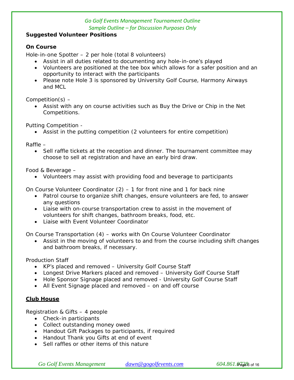## **Suggested Volunteer Positions**

# **On Course**

Hole-in-one Spotter – 2 per hole (total 8 volunteers)

- Assist in all duties related to documenting any hole-in-one's played
- Volunteers are positioned at the tee box which allows for a safer position and an opportunity to interact with the participants
- Please note Hole 3 is sponsored by University Golf Course, Harmony Airways and MCL

Competition(s) –

 Assist with any on course activities such as Buy the Drive or Chip in the Net Competitions.

Putting Competition -

Assist in the putting competition (2 volunteers for entire competition)

Raffle –

• Sell raffle tickets at the reception and dinner. The tournament committee may choose to sell at registration and have an early bird draw.

Food & Beverage –

Volunteers may assist with providing food and beverage to participants

On Course Volunteer Coordinator  $(2)$  – 1 for front nine and 1 for back nine

- Patrol course to organize shift changes, ensure volunteers are fed, to answer any questions
- Liaise with on-course transportation crew to assist in the movement of volunteers for shift changes, bathroom breaks, food, etc.
- Liaise with Event Volunteer Coordinator

On Course Transportation (4) – works with On Course Volunteer Coordinator

 Assist in the moving of volunteers to and from the course including shift changes and bathroom breaks, if necessary.

Production Staff

- KP's placed and removed University Golf Course Staff
- Longest Drive Markers placed and removed University Golf Course Staff
- Hole Sponsor Signage placed and removed University Golf Course Staff
- All Event Signage placed and removed on and off course

# **Club House**

Registration & Gifts – 4 people

- Check-in participants
- Collect outstanding money owed
- Handout Gift Packages to participants, if required
- Handout Thank you Gifts at end of event
- Sell raffles or other items of this nature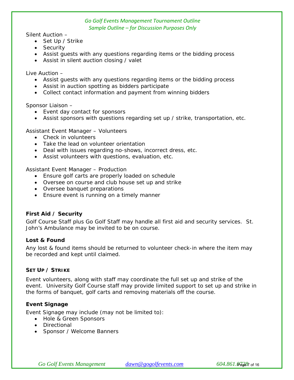Silent Auction –

- Set Up / Strike
- Security
- Assist guests with any questions regarding items or the bidding process
- Assist in silent auction closing / valet

Live Auction –

- Assist guests with any questions regarding items or the bidding process
- Assist in auction spotting as bidders participate
- Collect contact information and payment from winning bidders

Sponsor Liaison –

- Event day contact for sponsors
- Assist sponsors with questions regarding set up / strike, transportation, etc.

Assistant Event Manager – Volunteers

- Check in volunteers
- Take the lead on volunteer orientation
- Deal with issues regarding no-shows, incorrect dress, etc.
- Assist volunteers with questions, evaluation, etc.

Assistant Event Manager – Production

- Ensure golf carts are properly loaded on schedule
- Oversee on course and club house set up and strike
- Oversee banquet preparations
- Ensure event is running on a timely manner

#### **First Aid / Security**

Golf Course Staff plus Go Golf Staff may handle all first aid and security services. St. John's Ambulance may be invited to be on course.

#### **Lost & Found**

Any lost & found items should be returned to volunteer check-in where the item may be recorded and kept until claimed.

#### **SET UP / STRIKE**

Event volunteers, along with staff may coordinate the full set up and strike of the event. University Golf Course staff may provide limited support to set up and strike in the forms of banquet, golf carts and removing materials off the course.

#### **Event Signage**

Event Signage may include (may not be limited to):

- Hole & Green Sponsors
- Directional
- Sponsor / Welcome Banners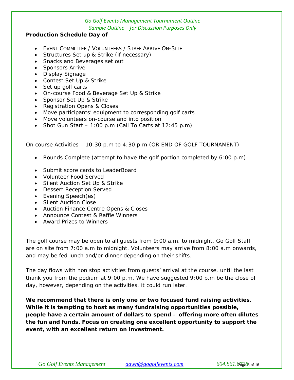#### **Production Schedule Day of**

- EVENT COMMITTEE / VOLUNTEERS / STAFF ARRIVE ON-SITE
- Structures Set up & Strike (if necessary)
- Snacks and Beverages set out
- Sponsors Arrive
- Display Signage
- Contest Set Up & Strike
- Set up golf carts
- On-course Food & Beverage Set Up & Strike
- Sponsor Set Up & Strike
- Registration Opens & Closes
- Move participants' equipment to corresponding golf carts
- Move volunteers on-course and into position
- Shot Gun Start  $-1:00$  p.m (Call To Carts at 12:45 p.m)

On course Activities – 10:30 p.m to 4:30 p.m (OR END OF GOLF TOURNAMENT)

- Rounds Complete (attempt to have the golf portion completed by 6:00 p.m)
- Submit score cards to LeaderBoard
- Volunteer Food Served
- Silent Auction Set Up & Strike
- Dessert Reception Served
- Evening Speech(es)
- Silent Auction Close
- Auction Finance Centre Opens & Closes
- Announce Contest & Raffle Winners
- Award Prizes to Winners

The golf course may be open to all guests from 9:00 a.m. to midnight. Go Golf Staff are on site from 7:00 a.m to midnight. Volunteers may arrive from 8:00 a.m onwards, and may be fed lunch and/or dinner depending on their shifts.

The day flows with non stop activities from guests' arrival at the course, until the last thank you from the podium at 9:00 p.m. We have suggested 9:00 p.m be the close of day, however, depending on the activities, it could run later.

**We recommend that there is only one or two focused fund raising activities. While it is tempting to host as many fundraising opportunities possible, people have a certain amount of dollars to spend – offering more often dilutes the fun and funds. Focus on creating one excellent opportunity to support the event, with an excellent return on investment.**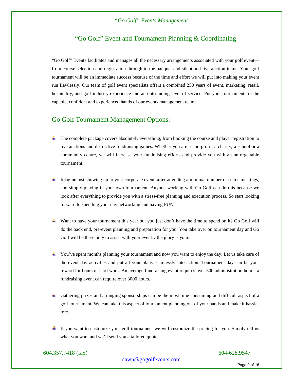# "Go Golf" Event and Tournament Planning & Coordinating

"Go Golf" Events facilitates and manages all the necessary arrangements associated with your golf event from course selection and registration through to the banquet and silent and live auction items. Your golf tournament will be an immediate success because of the time and effort we will put into making your event run flawlessly. Our team of golf event specialists offers a combined 250 years of event, marketing, retail, hospitality, and golf industry experience and an outstanding level of service. Put your tournaments in the capable, confident and experienced hands of our events management team.

# Go Golf Tournament Management Options:

- The complete package covers absolutely everything, from booking the course and player registration to live auctions and distinctive fundraising games. Whether you are a non-profit, a charity, a school or a community centre, we will increase your fundraising efforts and provide you with an unforgettable tournament.
- Imagine just showing up to your corporate event, after attending a minimal number of status meetings, and simply playing in your own tournament. Anyone working with Go Golf can do this because we look after everything to provide you with a stress-free planning and execution process. So start looking forward to spending your day networking and having FUN.
- Want to have your tournament this year but you just don't have the time to spend on it? Go Golf will do the back end, pre-event planning and preparation for you. You take over on tournament day and Go Golf will be there only to assist with your event...the glory is yours!
- You've spent months planning your tournament and now you want to enjoy the day. Let us take care of the event day activities and put all your plans seamlessly into action. Tournament day can be your reward for hours of hard work. An average fundraising event requires over 500 administration hours; a fundraising event can require over 3000 hours.
- Gathering prizes and arranging sponsorships can be the most time consuming and difficult aspect of a golf tournament. We can take this aspect of tournament planning out of your hands and make it hasslefree.
- $\pm$  If you want to customize your golf tournament we will customize the pricing for you. Simply tell us what you want and we'll send you a tailored quote.

604.357.7418 (fax) 604-628.9547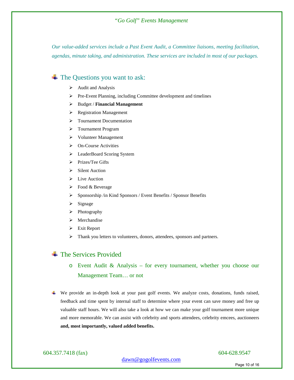#### *"Go Golf" Events Management*

*Our value-added services include a Past Event Audit, a Committee liaisons, meeting facilitation, agendas, minute taking, and administration. These services are included in most of our packages.* 

# $\overline{\text{The Questions you want to ask:}}$

- $\triangleright$  Audit and Analysis
- Pre-Event Planning, including Committee development and timelines
- Budget / **Financial Management**
- $\triangleright$  Registration Management
- > Tournament Documentation
- > Tournament Program
- Volunteer Management
- On-Course Activities
- EeaderBoard Scoring System
- $\triangleright$  Prizes/Tee Gifts
- $\triangleright$  Silent Auction
- $\triangleright$  Live Auction
- $\triangleright$  Food & Beverage
- Sponsorship /in Kind Sponsors / Event Benefits / Sponsor Benefits
- $\triangleright$  Signage
- $\triangleright$  Photography
- > Merchandise
- $\triangleright$  Exit Report
- > Thank you letters to volunteers, donors, attendees, sponsors and partners.

# $\pm$  The Services Provided

# o Event Audit & Analysis – for every tournament, whether you choose our Management Team… or not

We provide an in-depth look at your past golf events. We analyze costs, donations, funds raised, feedback and time spent by internal staff to determine where your event can save money and free up valuable staff hours. We will also take a look at how we can make your golf tournament more unique and more memorable. We can assist with celebrity and sports attendees, celebrity emcees, auctioneers **and, most importantly, valued added benefits.** 

604.357.7418 (fax) 604-628.9547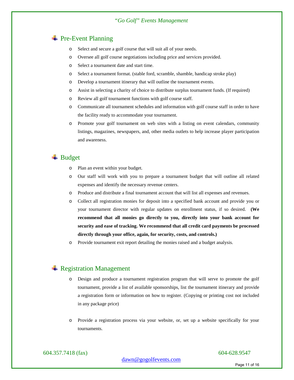#### *"Go Golf" Events Management*

# + Pre-Event Planning

- o Select and secure a golf course that will suit all of your needs.
- o Oversee all golf course negotiations including price and services provided.
- o Select a tournament date and start time.
- o Select a tournament format. (stable ford, scramble, shamble, handicap stroke play)
- o Develop a tournament itinerary that will outline the tournament events.
- o Assist in selecting a charity of choice to distribute surplus tournament funds. (If required)
- o Review all golf tournament functions with golf course staff.
- o Communicate all tournament schedules and information with golf course staff in order to have the facility ready to accommodate your tournament.
- o Promote your golf tournament on web sites with a listing on event calendars, community listings, magazines, newspapers, and, other media outlets to help increase player participation and awareness.

# $\overline{\phantom{a}}$  Budget

- o Plan an event within your budget.
- o Our staff will work with you to prepare a tournament budget that will outline all related expenses and identify the necessary revenue centers.
- o Produce and distribute a final tournament account that will list all expenses and revenues.
- o Collect all registration monies for deposit into a specified bank account and provide you or your tournament director with regular updates on enrollment status, if so desired. **(We recommend that all monies go directly to you, directly into your bank account for security and ease of tracking. We recommend that all credit card payments be processed directly through your office, again, for security, costs, and controls.)**
- o Provide tournament exit report detailing the monies raised and a budget analysis.

## **Exercistration Management**

- o Design and produce a tournament registration program that will serve to promote the golf tournament, provide a list of available sponsorships, list the tournament itinerary and provide a registration form or information on how to register. (Copying or printing cost not included in any package price)
- o Provide a registration process via your website, or, set up a website specifically for your tournaments.

604.357.7418 (fax) 604-628.9547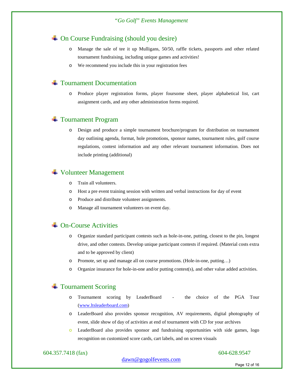# On Course Fundraising (should you desire)

- o Manage the sale of tee it up Mulligans, 50/50, raffle tickets, passports and other related tournament fundraising, including unique games and activities!
- o We recommend you include this in your registration fees

#### $\pm$  Tournament Documentation

o Produce player registration forms, player foursome sheet, player alphabetical list, cart assignment cards, and any other administration forms required.

# Tournament Program

o Design and produce a simple tournament brochure/program for distribution on tournament day outlining agenda, format, hole promotions, sponsor names, tournament rules, golf course regulations, contest information and any other relevant tournament information. Does not include printing (additional)

# Volunteer Management

- o Train all volunteers.
- o Host a pre event training session with written and verbal instructions for day of event
- o Produce and distribute volunteer assignments.
- o Manage all tournament volunteers on event day.

### $\triangle$  **On-Course Activities**

- o Organize standard participant contests such as hole-in-one, putting, closest to the pin, longest drive, and other contests. Develop unique participant contests if required. (Material costs extra and to be approved by client)
- o Promote, set up and manage all on course promotions. (Hole-in-one, putting…)
- o Organize insurance for hole-in-one and/or putting contest(s), and other value added activities.

# <sup>+</sup> Tournament Scoring

- o Tournament scoring by LeaderBoard the choice of the PGA Tour [\(www.ltsleaderboard.com\)](http://www.ltsleaderboard.com/)
- o LeaderBoard also provides sponsor recognition, AV requirements, digital photography of event, slide show of day of activities at end of tournament with CD for your archives
- o LeaderBoard also provides sponsor and fundraising opportunities with side games, logo recognition on customized score cards, cart labels, and on screen visuals

#### 604.357.7418 (fax) 604-628.9547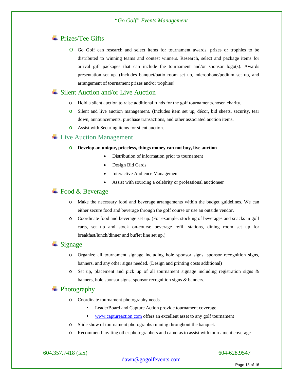# **E** Prizes/Tee Gifts

o Go Golf can research and select items for tournament awards, prizes or trophies to be distributed to winning teams and contest winners. Research, select and package items for arrival gift packages that can include the tournament and/or sponsor logo(s). Awards presentation set up. (Includes banquet/patio room set up, microphone/podium set up, and arrangement of tournament prizes and/or trophies)

#### **→** Silent Auction and/or Live Auction

- o Hold a silent auction to raise additional funds for the golf tournament/chosen charity.
- o Silent and live auction management. (Includes item set up, décor, bid sheets, security, tear down, announcements, purchase transactions, and other associated auction items.
- o Assist with Securing items for silent auction.

#### $\text{Live}\$  Live Auction Management

#### o **Develop an unique, priceless, things money can not buy, live auction**

- Distribution of information prior to tournament
- Design Bid Cards
- **Interactive Audience Management**
- Assist with sourcing a celebrity or professional auctioneer

#### $\overline{\phantom{a}}$  Food & Beverage

- o Make the necessary food and beverage arrangements within the budget guidelines. We can either secure food and beverage through the golf course or use an outside vendor.
- o Coordinate food and beverage set up. (For example: stocking of beverages and snacks in golf carts, set up and stock on-course beverage refill stations, dining room set up for breakfast/lunch/dinner and buffet line set up.)

#### $\ddot{\bullet}$  Signage

- o Organize all tournament signage including hole sponsor signs, sponsor recognition signs, banners, and any other signs needed. (Design and printing costs additional)
- o Set up, placement and pick up of all tournament signage including registration signs & banners, hole sponsor signs, sponsor recognition signs & banners.

# **Exercise** Photography

- o Coordinate tournament photography needs.
	- LeaderBoard and Capture Action provide tournament coverage
	- [www.captureaction.com](http://www.captureaction.com/) offers an excellent asset to any golf tournament
- o Slide show of tournament photographs running throughout the banquet.
- o Recommend inviting other photographers and cameras to assist with tournament coverage

604.357.7418 (fax) 604-628.9547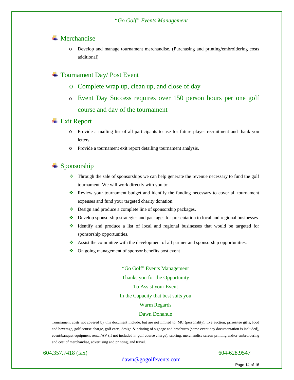### $\blacksquare$  Merchandise

o Develop and manage tournament merchandise. (Purchasing and printing/embroidering costs additional)

# Tournament Day/ Post Event

- o Complete wrap up, clean up, and close of day
- <sup>o</sup> Event Day Success requires over 150 person hours per one golf course and day of the tournament

#### **Exit Report**

- o Provide a mailing list of all participants to use for future player recruitment and thank you letters.
- o Provide a tournament exit report detailing tournament analysis.

# $\triangleq$  Sponsorship

- $\bullet$  Through the sale of sponsorships we can help generate the revenue necessary to fund the golf tournament. We will work directly with you to:
- Review your tournament budget and identify the funding necessary to cover all tournament expenses and fund your targeted charity donation.
- Design and produce a complete line of sponsorship packages.
- Develop sponsorship strategies and packages for presentation to local and regional businesses.
- Identify and produce a list of local and regional businesses that would be targeted for sponsorship opportunities.
- $\bullet$  Assist the committee with the development of all partner and sponsorship opportunities.
- ❖ On going management of sponsor benefits post event

"Go Golf" Events Management Thanks you for the Opportunity To Assist your Event In the Capacity that best suits you Warm Regards

#### Dawn Donahue

Tournament costs not covered by this document include, but are not limited to, MC (personality), live auction, prizes/tee gifts, food and beverage, golf course charge, golf carts, design & printing of signage and brochures (some event day documentation is included), event/banquet equipment rental/AV (if not included in golf course charge), scoring, merchandise screen printing and/or embroidering and cost of merchandise, advertising and printing, and travel.

604.357.7418 (fax) 604-628.9547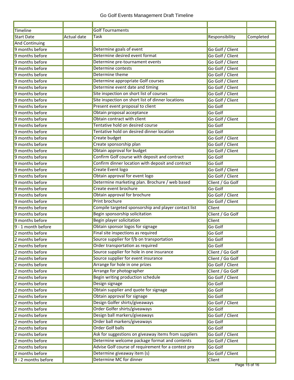| <b>Golf Tournaments</b><br>Timeline<br><b>Actual date</b><br>Task<br>Completed<br><b>Start Date</b><br>Responsibility<br><b>And Continuing</b><br>Determine goals of event<br>Go Golf / Client<br>Determine desired event format<br>Go Golf / Client<br>Determine pre-tournament events<br>Go Golf / Client<br><b>Determine contests</b><br>Go Golf / Client<br>9 months before<br>Determine theme<br>9 months before<br>Go Golf / Client<br>Determine appropriate Golf courses<br>Go Golf / Client<br>Determine event date and timing<br>Go Golf / Client<br>Site inspection on short list of courses<br>Go Golf / Client<br>Site inspection on short list of dinner locations<br>Go Golf / Client<br>9 months before<br>Present event proposal to client<br>9 months before<br>Go Golf<br>Obtain proposal acceptance<br>Go Golf<br>Obtain contract with client<br>Go Golf / Client<br>Tentative hold on desired course<br>Go Golf<br>Tentative hold on desired dinner location<br>9 months before<br>Go Golf<br><b>Create budget</b><br>9 months before<br>Go Golf / Client<br>Create sponsorship plan<br>Go Golf / Client<br>Obtain approval for budget<br>Go Golf / Client<br>Confirm Golf course with deposit and contract<br>Go Golf<br>Confirm dinner location with deposit and contract<br>9 months before<br>Go Golf<br><b>Create Event logo</b><br>9 months before<br>Go Golf / Client<br>Obtain approval for event logo<br>Go Golf / Client<br>9 months before<br>Determine marketing plan. Brochure / web based<br>9 months before<br>Client / Go Golf<br>Create event brochure<br>9 months before<br>Go Golf<br>Obtain approval for brochure<br>9 months before<br>Go Golf / Client<br><b>Print brochure</b><br>9 months before<br>Go Golf / Client<br>Compile targeted sponsorship and player contact list<br><b>Client</b><br>9 months before<br>Begin sponsorship solicitation<br>Client / Go Golf<br><b>Begin player solicitation</b><br>Client<br>9 months before<br>Obtain sponsor logos for signage<br>9 - 1 month before<br>Go Golf<br>Final site inspections as required<br>2 months before<br>Go Golf<br>2 months before<br>Source supplier for f/b on transportation<br>Go Golf<br>2 months before<br>Order transportation as required<br>Go Golf<br>Source supplier for hole in one insurance<br>2 months before<br>Client / Go Golf<br>Source supplier for event insurance<br>Client / Go Golf<br>2 months before<br>Arrange for hole in one prizes<br>2 months before<br>Go Golf / Client<br>Arrange for photographer<br>2 months before<br>Client / Go Golf<br>Begin writing production schedule<br>Go Golf / Client<br>2 months before<br>Design signage<br>2 months before<br>Go Golf<br>Obtain supplier and quote for signage<br>2 months before<br>Go Golf<br>Obtain approval for signage<br>2 months before<br>Go Golf<br>Design Golfer shirts/giveaways<br>2 months before<br>Go Golf / Client<br>Order Golfer shirts/giveaways<br>2 months before<br>Go Golf<br>Design ball markers/giveaways<br>2 months before<br>Go Golf / Client<br>Order ball markers/giveaways<br>Go Golf<br>2 months before<br><b>Order Golf balls</b><br>2 months before<br>Go Golf<br>Ask for suggestions on giveaway items from suppliers<br>2 months before<br>Go Golf / Client<br>Determine welcome package format and contents<br>2 months before<br>Go Golf / Client<br>Advise Golf course of requirement for a contest pro<br>2 months before<br>Go Golf<br>Determine giveaway item (s)<br>2 months before<br>Go Golf / Client |                     |                         |        |  |
|--------------------------------------------------------------------------------------------------------------------------------------------------------------------------------------------------------------------------------------------------------------------------------------------------------------------------------------------------------------------------------------------------------------------------------------------------------------------------------------------------------------------------------------------------------------------------------------------------------------------------------------------------------------------------------------------------------------------------------------------------------------------------------------------------------------------------------------------------------------------------------------------------------------------------------------------------------------------------------------------------------------------------------------------------------------------------------------------------------------------------------------------------------------------------------------------------------------------------------------------------------------------------------------------------------------------------------------------------------------------------------------------------------------------------------------------------------------------------------------------------------------------------------------------------------------------------------------------------------------------------------------------------------------------------------------------------------------------------------------------------------------------------------------------------------------------------------------------------------------------------------------------------------------------------------------------------------------------------------------------------------------------------------------------------------------------------------------------------------------------------------------------------------------------------------------------------------------------------------------------------------------------------------------------------------------------------------------------------------------------------------------------------------------------------------------------------------------------------------------------------------------------------------------------------------------------------------------------------------------------------------------------------------------------------------------------------------------------------------------------------------------------------------------------------------------------------------------------------------------------------------------------------------------------------------------------------------------------------------------------------------------------------------------------------------------------------------------------------------------------------------------------------------------------------------------------------------------------------------------------------------------------------------------------------------------------------------------------------------------------------------------------------------------------------------------------------------------------------------------------------------------------------------------------------|---------------------|-------------------------|--------|--|
|                                                                                                                                                                                                                                                                                                                                                                                                                                                                                                                                                                                                                                                                                                                                                                                                                                                                                                                                                                                                                                                                                                                                                                                                                                                                                                                                                                                                                                                                                                                                                                                                                                                                                                                                                                                                                                                                                                                                                                                                                                                                                                                                                                                                                                                                                                                                                                                                                                                                                                                                                                                                                                                                                                                                                                                                                                                                                                                                                                                                                                                                                                                                                                                                                                                                                                                                                                                                                                                                                                                                                  |                     |                         |        |  |
|                                                                                                                                                                                                                                                                                                                                                                                                                                                                                                                                                                                                                                                                                                                                                                                                                                                                                                                                                                                                                                                                                                                                                                                                                                                                                                                                                                                                                                                                                                                                                                                                                                                                                                                                                                                                                                                                                                                                                                                                                                                                                                                                                                                                                                                                                                                                                                                                                                                                                                                                                                                                                                                                                                                                                                                                                                                                                                                                                                                                                                                                                                                                                                                                                                                                                                                                                                                                                                                                                                                                                  |                     |                         |        |  |
|                                                                                                                                                                                                                                                                                                                                                                                                                                                                                                                                                                                                                                                                                                                                                                                                                                                                                                                                                                                                                                                                                                                                                                                                                                                                                                                                                                                                                                                                                                                                                                                                                                                                                                                                                                                                                                                                                                                                                                                                                                                                                                                                                                                                                                                                                                                                                                                                                                                                                                                                                                                                                                                                                                                                                                                                                                                                                                                                                                                                                                                                                                                                                                                                                                                                                                                                                                                                                                                                                                                                                  |                     |                         |        |  |
|                                                                                                                                                                                                                                                                                                                                                                                                                                                                                                                                                                                                                                                                                                                                                                                                                                                                                                                                                                                                                                                                                                                                                                                                                                                                                                                                                                                                                                                                                                                                                                                                                                                                                                                                                                                                                                                                                                                                                                                                                                                                                                                                                                                                                                                                                                                                                                                                                                                                                                                                                                                                                                                                                                                                                                                                                                                                                                                                                                                                                                                                                                                                                                                                                                                                                                                                                                                                                                                                                                                                                  | 9 months before     |                         |        |  |
|                                                                                                                                                                                                                                                                                                                                                                                                                                                                                                                                                                                                                                                                                                                                                                                                                                                                                                                                                                                                                                                                                                                                                                                                                                                                                                                                                                                                                                                                                                                                                                                                                                                                                                                                                                                                                                                                                                                                                                                                                                                                                                                                                                                                                                                                                                                                                                                                                                                                                                                                                                                                                                                                                                                                                                                                                                                                                                                                                                                                                                                                                                                                                                                                                                                                                                                                                                                                                                                                                                                                                  | 9 months before     |                         |        |  |
|                                                                                                                                                                                                                                                                                                                                                                                                                                                                                                                                                                                                                                                                                                                                                                                                                                                                                                                                                                                                                                                                                                                                                                                                                                                                                                                                                                                                                                                                                                                                                                                                                                                                                                                                                                                                                                                                                                                                                                                                                                                                                                                                                                                                                                                                                                                                                                                                                                                                                                                                                                                                                                                                                                                                                                                                                                                                                                                                                                                                                                                                                                                                                                                                                                                                                                                                                                                                                                                                                                                                                  | 9 months before     |                         |        |  |
|                                                                                                                                                                                                                                                                                                                                                                                                                                                                                                                                                                                                                                                                                                                                                                                                                                                                                                                                                                                                                                                                                                                                                                                                                                                                                                                                                                                                                                                                                                                                                                                                                                                                                                                                                                                                                                                                                                                                                                                                                                                                                                                                                                                                                                                                                                                                                                                                                                                                                                                                                                                                                                                                                                                                                                                                                                                                                                                                                                                                                                                                                                                                                                                                                                                                                                                                                                                                                                                                                                                                                  |                     |                         |        |  |
|                                                                                                                                                                                                                                                                                                                                                                                                                                                                                                                                                                                                                                                                                                                                                                                                                                                                                                                                                                                                                                                                                                                                                                                                                                                                                                                                                                                                                                                                                                                                                                                                                                                                                                                                                                                                                                                                                                                                                                                                                                                                                                                                                                                                                                                                                                                                                                                                                                                                                                                                                                                                                                                                                                                                                                                                                                                                                                                                                                                                                                                                                                                                                                                                                                                                                                                                                                                                                                                                                                                                                  |                     |                         |        |  |
|                                                                                                                                                                                                                                                                                                                                                                                                                                                                                                                                                                                                                                                                                                                                                                                                                                                                                                                                                                                                                                                                                                                                                                                                                                                                                                                                                                                                                                                                                                                                                                                                                                                                                                                                                                                                                                                                                                                                                                                                                                                                                                                                                                                                                                                                                                                                                                                                                                                                                                                                                                                                                                                                                                                                                                                                                                                                                                                                                                                                                                                                                                                                                                                                                                                                                                                                                                                                                                                                                                                                                  | 9 months before     |                         |        |  |
|                                                                                                                                                                                                                                                                                                                                                                                                                                                                                                                                                                                                                                                                                                                                                                                                                                                                                                                                                                                                                                                                                                                                                                                                                                                                                                                                                                                                                                                                                                                                                                                                                                                                                                                                                                                                                                                                                                                                                                                                                                                                                                                                                                                                                                                                                                                                                                                                                                                                                                                                                                                                                                                                                                                                                                                                                                                                                                                                                                                                                                                                                                                                                                                                                                                                                                                                                                                                                                                                                                                                                  | 9 months before     |                         |        |  |
|                                                                                                                                                                                                                                                                                                                                                                                                                                                                                                                                                                                                                                                                                                                                                                                                                                                                                                                                                                                                                                                                                                                                                                                                                                                                                                                                                                                                                                                                                                                                                                                                                                                                                                                                                                                                                                                                                                                                                                                                                                                                                                                                                                                                                                                                                                                                                                                                                                                                                                                                                                                                                                                                                                                                                                                                                                                                                                                                                                                                                                                                                                                                                                                                                                                                                                                                                                                                                                                                                                                                                  | 9 months before     |                         |        |  |
|                                                                                                                                                                                                                                                                                                                                                                                                                                                                                                                                                                                                                                                                                                                                                                                                                                                                                                                                                                                                                                                                                                                                                                                                                                                                                                                                                                                                                                                                                                                                                                                                                                                                                                                                                                                                                                                                                                                                                                                                                                                                                                                                                                                                                                                                                                                                                                                                                                                                                                                                                                                                                                                                                                                                                                                                                                                                                                                                                                                                                                                                                                                                                                                                                                                                                                                                                                                                                                                                                                                                                  |                     |                         |        |  |
|                                                                                                                                                                                                                                                                                                                                                                                                                                                                                                                                                                                                                                                                                                                                                                                                                                                                                                                                                                                                                                                                                                                                                                                                                                                                                                                                                                                                                                                                                                                                                                                                                                                                                                                                                                                                                                                                                                                                                                                                                                                                                                                                                                                                                                                                                                                                                                                                                                                                                                                                                                                                                                                                                                                                                                                                                                                                                                                                                                                                                                                                                                                                                                                                                                                                                                                                                                                                                                                                                                                                                  |                     |                         |        |  |
|                                                                                                                                                                                                                                                                                                                                                                                                                                                                                                                                                                                                                                                                                                                                                                                                                                                                                                                                                                                                                                                                                                                                                                                                                                                                                                                                                                                                                                                                                                                                                                                                                                                                                                                                                                                                                                                                                                                                                                                                                                                                                                                                                                                                                                                                                                                                                                                                                                                                                                                                                                                                                                                                                                                                                                                                                                                                                                                                                                                                                                                                                                                                                                                                                                                                                                                                                                                                                                                                                                                                                  | 9 months before     |                         |        |  |
|                                                                                                                                                                                                                                                                                                                                                                                                                                                                                                                                                                                                                                                                                                                                                                                                                                                                                                                                                                                                                                                                                                                                                                                                                                                                                                                                                                                                                                                                                                                                                                                                                                                                                                                                                                                                                                                                                                                                                                                                                                                                                                                                                                                                                                                                                                                                                                                                                                                                                                                                                                                                                                                                                                                                                                                                                                                                                                                                                                                                                                                                                                                                                                                                                                                                                                                                                                                                                                                                                                                                                  | 9 months before     |                         |        |  |
|                                                                                                                                                                                                                                                                                                                                                                                                                                                                                                                                                                                                                                                                                                                                                                                                                                                                                                                                                                                                                                                                                                                                                                                                                                                                                                                                                                                                                                                                                                                                                                                                                                                                                                                                                                                                                                                                                                                                                                                                                                                                                                                                                                                                                                                                                                                                                                                                                                                                                                                                                                                                                                                                                                                                                                                                                                                                                                                                                                                                                                                                                                                                                                                                                                                                                                                                                                                                                                                                                                                                                  | 9 months before     |                         |        |  |
|                                                                                                                                                                                                                                                                                                                                                                                                                                                                                                                                                                                                                                                                                                                                                                                                                                                                                                                                                                                                                                                                                                                                                                                                                                                                                                                                                                                                                                                                                                                                                                                                                                                                                                                                                                                                                                                                                                                                                                                                                                                                                                                                                                                                                                                                                                                                                                                                                                                                                                                                                                                                                                                                                                                                                                                                                                                                                                                                                                                                                                                                                                                                                                                                                                                                                                                                                                                                                                                                                                                                                  |                     |                         |        |  |
|                                                                                                                                                                                                                                                                                                                                                                                                                                                                                                                                                                                                                                                                                                                                                                                                                                                                                                                                                                                                                                                                                                                                                                                                                                                                                                                                                                                                                                                                                                                                                                                                                                                                                                                                                                                                                                                                                                                                                                                                                                                                                                                                                                                                                                                                                                                                                                                                                                                                                                                                                                                                                                                                                                                                                                                                                                                                                                                                                                                                                                                                                                                                                                                                                                                                                                                                                                                                                                                                                                                                                  |                     |                         |        |  |
|                                                                                                                                                                                                                                                                                                                                                                                                                                                                                                                                                                                                                                                                                                                                                                                                                                                                                                                                                                                                                                                                                                                                                                                                                                                                                                                                                                                                                                                                                                                                                                                                                                                                                                                                                                                                                                                                                                                                                                                                                                                                                                                                                                                                                                                                                                                                                                                                                                                                                                                                                                                                                                                                                                                                                                                                                                                                                                                                                                                                                                                                                                                                                                                                                                                                                                                                                                                                                                                                                                                                                  | 9 months before     |                         |        |  |
|                                                                                                                                                                                                                                                                                                                                                                                                                                                                                                                                                                                                                                                                                                                                                                                                                                                                                                                                                                                                                                                                                                                                                                                                                                                                                                                                                                                                                                                                                                                                                                                                                                                                                                                                                                                                                                                                                                                                                                                                                                                                                                                                                                                                                                                                                                                                                                                                                                                                                                                                                                                                                                                                                                                                                                                                                                                                                                                                                                                                                                                                                                                                                                                                                                                                                                                                                                                                                                                                                                                                                  | 9 months before     |                         |        |  |
|                                                                                                                                                                                                                                                                                                                                                                                                                                                                                                                                                                                                                                                                                                                                                                                                                                                                                                                                                                                                                                                                                                                                                                                                                                                                                                                                                                                                                                                                                                                                                                                                                                                                                                                                                                                                                                                                                                                                                                                                                                                                                                                                                                                                                                                                                                                                                                                                                                                                                                                                                                                                                                                                                                                                                                                                                                                                                                                                                                                                                                                                                                                                                                                                                                                                                                                                                                                                                                                                                                                                                  | 9 months before     |                         |        |  |
|                                                                                                                                                                                                                                                                                                                                                                                                                                                                                                                                                                                                                                                                                                                                                                                                                                                                                                                                                                                                                                                                                                                                                                                                                                                                                                                                                                                                                                                                                                                                                                                                                                                                                                                                                                                                                                                                                                                                                                                                                                                                                                                                                                                                                                                                                                                                                                                                                                                                                                                                                                                                                                                                                                                                                                                                                                                                                                                                                                                                                                                                                                                                                                                                                                                                                                                                                                                                                                                                                                                                                  |                     |                         |        |  |
|                                                                                                                                                                                                                                                                                                                                                                                                                                                                                                                                                                                                                                                                                                                                                                                                                                                                                                                                                                                                                                                                                                                                                                                                                                                                                                                                                                                                                                                                                                                                                                                                                                                                                                                                                                                                                                                                                                                                                                                                                                                                                                                                                                                                                                                                                                                                                                                                                                                                                                                                                                                                                                                                                                                                                                                                                                                                                                                                                                                                                                                                                                                                                                                                                                                                                                                                                                                                                                                                                                                                                  |                     |                         |        |  |
|                                                                                                                                                                                                                                                                                                                                                                                                                                                                                                                                                                                                                                                                                                                                                                                                                                                                                                                                                                                                                                                                                                                                                                                                                                                                                                                                                                                                                                                                                                                                                                                                                                                                                                                                                                                                                                                                                                                                                                                                                                                                                                                                                                                                                                                                                                                                                                                                                                                                                                                                                                                                                                                                                                                                                                                                                                                                                                                                                                                                                                                                                                                                                                                                                                                                                                                                                                                                                                                                                                                                                  |                     |                         |        |  |
|                                                                                                                                                                                                                                                                                                                                                                                                                                                                                                                                                                                                                                                                                                                                                                                                                                                                                                                                                                                                                                                                                                                                                                                                                                                                                                                                                                                                                                                                                                                                                                                                                                                                                                                                                                                                                                                                                                                                                                                                                                                                                                                                                                                                                                                                                                                                                                                                                                                                                                                                                                                                                                                                                                                                                                                                                                                                                                                                                                                                                                                                                                                                                                                                                                                                                                                                                                                                                                                                                                                                                  |                     |                         |        |  |
|                                                                                                                                                                                                                                                                                                                                                                                                                                                                                                                                                                                                                                                                                                                                                                                                                                                                                                                                                                                                                                                                                                                                                                                                                                                                                                                                                                                                                                                                                                                                                                                                                                                                                                                                                                                                                                                                                                                                                                                                                                                                                                                                                                                                                                                                                                                                                                                                                                                                                                                                                                                                                                                                                                                                                                                                                                                                                                                                                                                                                                                                                                                                                                                                                                                                                                                                                                                                                                                                                                                                                  |                     |                         |        |  |
|                                                                                                                                                                                                                                                                                                                                                                                                                                                                                                                                                                                                                                                                                                                                                                                                                                                                                                                                                                                                                                                                                                                                                                                                                                                                                                                                                                                                                                                                                                                                                                                                                                                                                                                                                                                                                                                                                                                                                                                                                                                                                                                                                                                                                                                                                                                                                                                                                                                                                                                                                                                                                                                                                                                                                                                                                                                                                                                                                                                                                                                                                                                                                                                                                                                                                                                                                                                                                                                                                                                                                  |                     |                         |        |  |
|                                                                                                                                                                                                                                                                                                                                                                                                                                                                                                                                                                                                                                                                                                                                                                                                                                                                                                                                                                                                                                                                                                                                                                                                                                                                                                                                                                                                                                                                                                                                                                                                                                                                                                                                                                                                                                                                                                                                                                                                                                                                                                                                                                                                                                                                                                                                                                                                                                                                                                                                                                                                                                                                                                                                                                                                                                                                                                                                                                                                                                                                                                                                                                                                                                                                                                                                                                                                                                                                                                                                                  |                     |                         |        |  |
|                                                                                                                                                                                                                                                                                                                                                                                                                                                                                                                                                                                                                                                                                                                                                                                                                                                                                                                                                                                                                                                                                                                                                                                                                                                                                                                                                                                                                                                                                                                                                                                                                                                                                                                                                                                                                                                                                                                                                                                                                                                                                                                                                                                                                                                                                                                                                                                                                                                                                                                                                                                                                                                                                                                                                                                                                                                                                                                                                                                                                                                                                                                                                                                                                                                                                                                                                                                                                                                                                                                                                  |                     |                         |        |  |
|                                                                                                                                                                                                                                                                                                                                                                                                                                                                                                                                                                                                                                                                                                                                                                                                                                                                                                                                                                                                                                                                                                                                                                                                                                                                                                                                                                                                                                                                                                                                                                                                                                                                                                                                                                                                                                                                                                                                                                                                                                                                                                                                                                                                                                                                                                                                                                                                                                                                                                                                                                                                                                                                                                                                                                                                                                                                                                                                                                                                                                                                                                                                                                                                                                                                                                                                                                                                                                                                                                                                                  | 9 months before     |                         |        |  |
|                                                                                                                                                                                                                                                                                                                                                                                                                                                                                                                                                                                                                                                                                                                                                                                                                                                                                                                                                                                                                                                                                                                                                                                                                                                                                                                                                                                                                                                                                                                                                                                                                                                                                                                                                                                                                                                                                                                                                                                                                                                                                                                                                                                                                                                                                                                                                                                                                                                                                                                                                                                                                                                                                                                                                                                                                                                                                                                                                                                                                                                                                                                                                                                                                                                                                                                                                                                                                                                                                                                                                  |                     |                         |        |  |
|                                                                                                                                                                                                                                                                                                                                                                                                                                                                                                                                                                                                                                                                                                                                                                                                                                                                                                                                                                                                                                                                                                                                                                                                                                                                                                                                                                                                                                                                                                                                                                                                                                                                                                                                                                                                                                                                                                                                                                                                                                                                                                                                                                                                                                                                                                                                                                                                                                                                                                                                                                                                                                                                                                                                                                                                                                                                                                                                                                                                                                                                                                                                                                                                                                                                                                                                                                                                                                                                                                                                                  |                     |                         |        |  |
|                                                                                                                                                                                                                                                                                                                                                                                                                                                                                                                                                                                                                                                                                                                                                                                                                                                                                                                                                                                                                                                                                                                                                                                                                                                                                                                                                                                                                                                                                                                                                                                                                                                                                                                                                                                                                                                                                                                                                                                                                                                                                                                                                                                                                                                                                                                                                                                                                                                                                                                                                                                                                                                                                                                                                                                                                                                                                                                                                                                                                                                                                                                                                                                                                                                                                                                                                                                                                                                                                                                                                  |                     |                         |        |  |
|                                                                                                                                                                                                                                                                                                                                                                                                                                                                                                                                                                                                                                                                                                                                                                                                                                                                                                                                                                                                                                                                                                                                                                                                                                                                                                                                                                                                                                                                                                                                                                                                                                                                                                                                                                                                                                                                                                                                                                                                                                                                                                                                                                                                                                                                                                                                                                                                                                                                                                                                                                                                                                                                                                                                                                                                                                                                                                                                                                                                                                                                                                                                                                                                                                                                                                                                                                                                                                                                                                                                                  |                     |                         |        |  |
|                                                                                                                                                                                                                                                                                                                                                                                                                                                                                                                                                                                                                                                                                                                                                                                                                                                                                                                                                                                                                                                                                                                                                                                                                                                                                                                                                                                                                                                                                                                                                                                                                                                                                                                                                                                                                                                                                                                                                                                                                                                                                                                                                                                                                                                                                                                                                                                                                                                                                                                                                                                                                                                                                                                                                                                                                                                                                                                                                                                                                                                                                                                                                                                                                                                                                                                                                                                                                                                                                                                                                  |                     |                         |        |  |
|                                                                                                                                                                                                                                                                                                                                                                                                                                                                                                                                                                                                                                                                                                                                                                                                                                                                                                                                                                                                                                                                                                                                                                                                                                                                                                                                                                                                                                                                                                                                                                                                                                                                                                                                                                                                                                                                                                                                                                                                                                                                                                                                                                                                                                                                                                                                                                                                                                                                                                                                                                                                                                                                                                                                                                                                                                                                                                                                                                                                                                                                                                                                                                                                                                                                                                                                                                                                                                                                                                                                                  |                     |                         |        |  |
|                                                                                                                                                                                                                                                                                                                                                                                                                                                                                                                                                                                                                                                                                                                                                                                                                                                                                                                                                                                                                                                                                                                                                                                                                                                                                                                                                                                                                                                                                                                                                                                                                                                                                                                                                                                                                                                                                                                                                                                                                                                                                                                                                                                                                                                                                                                                                                                                                                                                                                                                                                                                                                                                                                                                                                                                                                                                                                                                                                                                                                                                                                                                                                                                                                                                                                                                                                                                                                                                                                                                                  |                     |                         |        |  |
|                                                                                                                                                                                                                                                                                                                                                                                                                                                                                                                                                                                                                                                                                                                                                                                                                                                                                                                                                                                                                                                                                                                                                                                                                                                                                                                                                                                                                                                                                                                                                                                                                                                                                                                                                                                                                                                                                                                                                                                                                                                                                                                                                                                                                                                                                                                                                                                                                                                                                                                                                                                                                                                                                                                                                                                                                                                                                                                                                                                                                                                                                                                                                                                                                                                                                                                                                                                                                                                                                                                                                  |                     |                         |        |  |
|                                                                                                                                                                                                                                                                                                                                                                                                                                                                                                                                                                                                                                                                                                                                                                                                                                                                                                                                                                                                                                                                                                                                                                                                                                                                                                                                                                                                                                                                                                                                                                                                                                                                                                                                                                                                                                                                                                                                                                                                                                                                                                                                                                                                                                                                                                                                                                                                                                                                                                                                                                                                                                                                                                                                                                                                                                                                                                                                                                                                                                                                                                                                                                                                                                                                                                                                                                                                                                                                                                                                                  |                     |                         |        |  |
|                                                                                                                                                                                                                                                                                                                                                                                                                                                                                                                                                                                                                                                                                                                                                                                                                                                                                                                                                                                                                                                                                                                                                                                                                                                                                                                                                                                                                                                                                                                                                                                                                                                                                                                                                                                                                                                                                                                                                                                                                                                                                                                                                                                                                                                                                                                                                                                                                                                                                                                                                                                                                                                                                                                                                                                                                                                                                                                                                                                                                                                                                                                                                                                                                                                                                                                                                                                                                                                                                                                                                  |                     |                         |        |  |
|                                                                                                                                                                                                                                                                                                                                                                                                                                                                                                                                                                                                                                                                                                                                                                                                                                                                                                                                                                                                                                                                                                                                                                                                                                                                                                                                                                                                                                                                                                                                                                                                                                                                                                                                                                                                                                                                                                                                                                                                                                                                                                                                                                                                                                                                                                                                                                                                                                                                                                                                                                                                                                                                                                                                                                                                                                                                                                                                                                                                                                                                                                                                                                                                                                                                                                                                                                                                                                                                                                                                                  |                     |                         |        |  |
|                                                                                                                                                                                                                                                                                                                                                                                                                                                                                                                                                                                                                                                                                                                                                                                                                                                                                                                                                                                                                                                                                                                                                                                                                                                                                                                                                                                                                                                                                                                                                                                                                                                                                                                                                                                                                                                                                                                                                                                                                                                                                                                                                                                                                                                                                                                                                                                                                                                                                                                                                                                                                                                                                                                                                                                                                                                                                                                                                                                                                                                                                                                                                                                                                                                                                                                                                                                                                                                                                                                                                  |                     |                         |        |  |
|                                                                                                                                                                                                                                                                                                                                                                                                                                                                                                                                                                                                                                                                                                                                                                                                                                                                                                                                                                                                                                                                                                                                                                                                                                                                                                                                                                                                                                                                                                                                                                                                                                                                                                                                                                                                                                                                                                                                                                                                                                                                                                                                                                                                                                                                                                                                                                                                                                                                                                                                                                                                                                                                                                                                                                                                                                                                                                                                                                                                                                                                                                                                                                                                                                                                                                                                                                                                                                                                                                                                                  |                     |                         |        |  |
|                                                                                                                                                                                                                                                                                                                                                                                                                                                                                                                                                                                                                                                                                                                                                                                                                                                                                                                                                                                                                                                                                                                                                                                                                                                                                                                                                                                                                                                                                                                                                                                                                                                                                                                                                                                                                                                                                                                                                                                                                                                                                                                                                                                                                                                                                                                                                                                                                                                                                                                                                                                                                                                                                                                                                                                                                                                                                                                                                                                                                                                                                                                                                                                                                                                                                                                                                                                                                                                                                                                                                  |                     |                         |        |  |
|                                                                                                                                                                                                                                                                                                                                                                                                                                                                                                                                                                                                                                                                                                                                                                                                                                                                                                                                                                                                                                                                                                                                                                                                                                                                                                                                                                                                                                                                                                                                                                                                                                                                                                                                                                                                                                                                                                                                                                                                                                                                                                                                                                                                                                                                                                                                                                                                                                                                                                                                                                                                                                                                                                                                                                                                                                                                                                                                                                                                                                                                                                                                                                                                                                                                                                                                                                                                                                                                                                                                                  |                     |                         |        |  |
|                                                                                                                                                                                                                                                                                                                                                                                                                                                                                                                                                                                                                                                                                                                                                                                                                                                                                                                                                                                                                                                                                                                                                                                                                                                                                                                                                                                                                                                                                                                                                                                                                                                                                                                                                                                                                                                                                                                                                                                                                                                                                                                                                                                                                                                                                                                                                                                                                                                                                                                                                                                                                                                                                                                                                                                                                                                                                                                                                                                                                                                                                                                                                                                                                                                                                                                                                                                                                                                                                                                                                  |                     |                         |        |  |
|                                                                                                                                                                                                                                                                                                                                                                                                                                                                                                                                                                                                                                                                                                                                                                                                                                                                                                                                                                                                                                                                                                                                                                                                                                                                                                                                                                                                                                                                                                                                                                                                                                                                                                                                                                                                                                                                                                                                                                                                                                                                                                                                                                                                                                                                                                                                                                                                                                                                                                                                                                                                                                                                                                                                                                                                                                                                                                                                                                                                                                                                                                                                                                                                                                                                                                                                                                                                                                                                                                                                                  |                     |                         |        |  |
|                                                                                                                                                                                                                                                                                                                                                                                                                                                                                                                                                                                                                                                                                                                                                                                                                                                                                                                                                                                                                                                                                                                                                                                                                                                                                                                                                                                                                                                                                                                                                                                                                                                                                                                                                                                                                                                                                                                                                                                                                                                                                                                                                                                                                                                                                                                                                                                                                                                                                                                                                                                                                                                                                                                                                                                                                                                                                                                                                                                                                                                                                                                                                                                                                                                                                                                                                                                                                                                                                                                                                  |                     |                         |        |  |
|                                                                                                                                                                                                                                                                                                                                                                                                                                                                                                                                                                                                                                                                                                                                                                                                                                                                                                                                                                                                                                                                                                                                                                                                                                                                                                                                                                                                                                                                                                                                                                                                                                                                                                                                                                                                                                                                                                                                                                                                                                                                                                                                                                                                                                                                                                                                                                                                                                                                                                                                                                                                                                                                                                                                                                                                                                                                                                                                                                                                                                                                                                                                                                                                                                                                                                                                                                                                                                                                                                                                                  |                     |                         |        |  |
|                                                                                                                                                                                                                                                                                                                                                                                                                                                                                                                                                                                                                                                                                                                                                                                                                                                                                                                                                                                                                                                                                                                                                                                                                                                                                                                                                                                                                                                                                                                                                                                                                                                                                                                                                                                                                                                                                                                                                                                                                                                                                                                                                                                                                                                                                                                                                                                                                                                                                                                                                                                                                                                                                                                                                                                                                                                                                                                                                                                                                                                                                                                                                                                                                                                                                                                                                                                                                                                                                                                                                  |                     |                         |        |  |
|                                                                                                                                                                                                                                                                                                                                                                                                                                                                                                                                                                                                                                                                                                                                                                                                                                                                                                                                                                                                                                                                                                                                                                                                                                                                                                                                                                                                                                                                                                                                                                                                                                                                                                                                                                                                                                                                                                                                                                                                                                                                                                                                                                                                                                                                                                                                                                                                                                                                                                                                                                                                                                                                                                                                                                                                                                                                                                                                                                                                                                                                                                                                                                                                                                                                                                                                                                                                                                                                                                                                                  |                     |                         |        |  |
|                                                                                                                                                                                                                                                                                                                                                                                                                                                                                                                                                                                                                                                                                                                                                                                                                                                                                                                                                                                                                                                                                                                                                                                                                                                                                                                                                                                                                                                                                                                                                                                                                                                                                                                                                                                                                                                                                                                                                                                                                                                                                                                                                                                                                                                                                                                                                                                                                                                                                                                                                                                                                                                                                                                                                                                                                                                                                                                                                                                                                                                                                                                                                                                                                                                                                                                                                                                                                                                                                                                                                  |                     |                         |        |  |
|                                                                                                                                                                                                                                                                                                                                                                                                                                                                                                                                                                                                                                                                                                                                                                                                                                                                                                                                                                                                                                                                                                                                                                                                                                                                                                                                                                                                                                                                                                                                                                                                                                                                                                                                                                                                                                                                                                                                                                                                                                                                                                                                                                                                                                                                                                                                                                                                                                                                                                                                                                                                                                                                                                                                                                                                                                                                                                                                                                                                                                                                                                                                                                                                                                                                                                                                                                                                                                                                                                                                                  | 9 - 2 months before | Determine MC for dinner | Client |  |